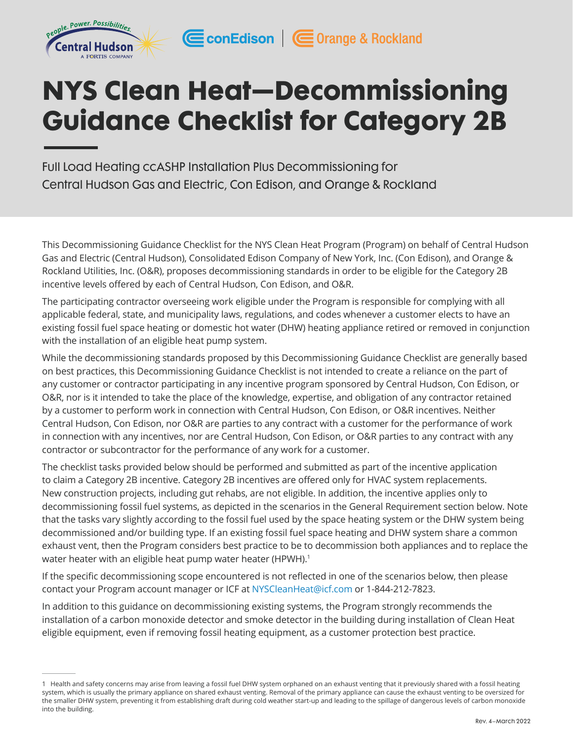

# NYS Clean Heat—Decommissioning Guidance Checklist for Category 2B

CconEdison | Corange & Rockland

Full Load Heating ccASHP Installation Plus Decommissioning for Central Hudson Gas and Electric, Con Edison, and Orange & Rockland

This Decommissioning Guidance Checklist for the NYS Clean Heat Program (Program) on behalf of Central Hudson Gas and Electric (Central Hudson), Consolidated Edison Company of New York, Inc. (Con Edison), and Orange & Rockland Utilities, Inc. (O&R), proposes decommissioning standards in order to be eligible for the Category 2B incentive levels offered by each of Central Hudson, Con Edison, and O&R.

The participating contractor overseeing work eligible under the Program is responsible for complying with all applicable federal, state, and municipality laws, regulations, and codes whenever a customer elects to have an existing fossil fuel space heating or domestic hot water (DHW) heating appliance retired or removed in conjunction with the installation of an eligible heat pump system.

While the decommissioning standards proposed by this Decommissioning Guidance Checklist are generally based on best practices, this Decommissioning Guidance Checklist is not intended to create a reliance on the part of any customer or contractor participating in any incentive program sponsored by Central Hudson, Con Edison, or O&R, nor is it intended to take the place of the knowledge, expertise, and obligation of any contractor retained by a customer to perform work in connection with Central Hudson, Con Edison, or O&R incentives. Neither Central Hudson, Con Edison, nor O&R are parties to any contract with a customer for the performance of work in connection with any incentives, nor are Central Hudson, Con Edison, or O&R parties to any contract with any contractor or subcontractor for the performance of any work for a customer.

The checklist tasks provided below should be performed and submitted as part of the incentive application to claim a Category 2B incentive. Category 2B incentives are offered only for HVAC system replacements. New construction projects, including gut rehabs, are not eligible. In addition, the incentive applies only to decommissioning fossil fuel systems, as depicted in the scenarios in the General Requirement section below. Note that the tasks vary slightly according to the fossil fuel used by the space heating system or the DHW system being decommissioned and/or building type. If an existing fossil fuel space heating and DHW system share a common exhaust vent, then the Program considers best practice to be to decommission both appliances and to replace the water heater with an eligible heat pump water heater (HPWH).<sup>1</sup>

If the specific decommissioning scope encountered is not reflected in one of the scenarios below, then please contact your Program account manager or ICF at [NYSCleanHeat@icf.com](mailto:NYSCleanHeat%40icf.com?subject=) or 1-844-212-7823.

In addition to this guidance on decommissioning existing systems, the Program strongly recommends the installation of a carbon monoxide detector and smoke detector in the building during installation of Clean Heat eligible equipment, even if removing fossil heating equipment, as a customer protection best practice.

<sup>1</sup> Health and safety concerns may arise from leaving a fossil fuel DHW system orphaned on an exhaust venting that it previously shared with a fossil heating system, which is usually the primary appliance on shared exhaust venting. Removal of the primary appliance can cause the exhaust venting to be oversized for the smaller DHW system, preventing it from establishing draft during cold weather start-up and leading to the spillage of dangerous levels of carbon monoxide into the building.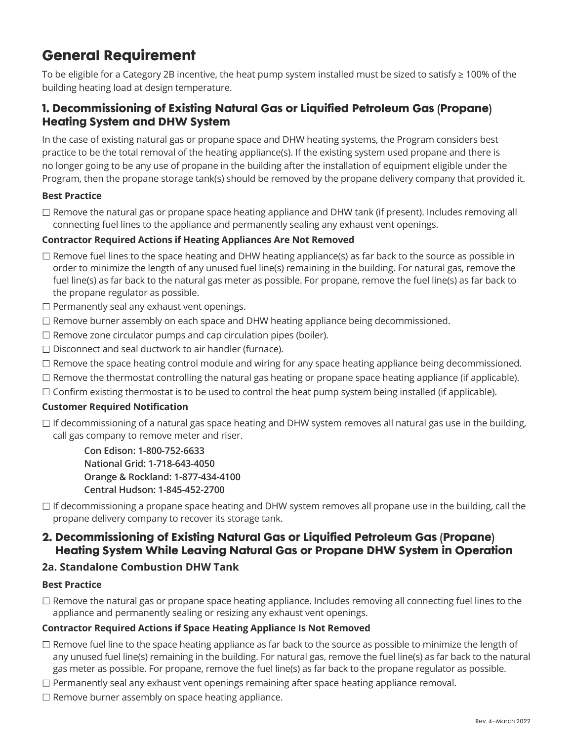# General Requirement

To be eligible for a Category 2B incentive, the heat pump system installed must be sized to satisfy ≥ 100% of the building heating load at design temperature.

# 1. Decommissioning of Existing Natural Gas or Liquified Petroleum Gas (Propane) Heating System and DHW System

In the case of existing natural gas or propane space and DHW heating systems, the Program considers best practice to be the total removal of the heating appliance(s). If the existing system used propane and there is no longer going to be any use of propane in the building after the installation of equipment eligible under the Program, then the propane storage tank(s) should be removed by the propane delivery company that provided it.

#### **Best Practice**

 $\Box$  Remove the natural gas or propane space heating appliance and DHW tank (if present). Includes removing all connecting fuel lines to the appliance and permanently sealing any exhaust vent openings.

#### **Contractor Required Actions if Heating Appliances Are Not Removed**

- $\Box$  Remove fuel lines to the space heating and DHW heating appliance(s) as far back to the source as possible in order to minimize the length of any unused fuel line(s) remaining in the building. For natural gas, remove the fuel line(s) as far back to the natural gas meter as possible. For propane, remove the fuel line(s) as far back to the propane regulator as possible.
- $\Box$  Permanently seal any exhaust vent openings.
- $\Box$  Remove burner assembly on each space and DHW heating appliance being decommissioned.
- $\Box$  Remove zone circulator pumps and cap circulation pipes (boiler).
- $\Box$  Disconnect and seal ductwork to air handler (furnace).
- $\Box$  Remove the space heating control module and wiring for any space heating appliance being decommissioned.
- $\Box$  Remove the thermostat controlling the natural gas heating or propane space heating appliance (if applicable).
- $\Box$  Confirm existing thermostat is to be used to control the heat pump system being installed (if applicable).

#### **Customer Required Notification**

□ If decommissioning of a natural gas space heating and DHW system removes all natural gas use in the building, call gas company to remove meter and riser.

**Con Edison: 1-800-752-6633 National Grid: 1-718-643-4050 Orange & Rockland: 1-877-434-4100 Central Hudson: 1-845-452-2700**

 $\Box$  If decommissioning a propane space heating and DHW system removes all propane use in the building, call the propane delivery company to recover its storage tank.

# 2. Decommissioning of Existing Natural Gas or Liquified Petroleum Gas (Propane) Heating System While Leaving Natural Gas or Propane DHW System in Operation

#### **2a. Standalone Combustion DHW Tank**

#### **Best Practice**

 $\Box$  Remove the natural gas or propane space heating appliance. Includes removing all connecting fuel lines to the appliance and permanently sealing or resizing any exhaust vent openings.

#### **Contractor Required Actions if Space Heating Appliance Is Not Removed**

- $\Box$  Remove fuel line to the space heating appliance as far back to the source as possible to minimize the length of any unused fuel line(s) remaining in the building. For natural gas, remove the fuel line(s) as far back to the natural gas meter as possible. For propane, remove the fuel line(s) as far back to the propane regulator as possible.
- $\Box$  Permanently seal any exhaust vent openings remaining after space heating appliance removal.
- $\Box$  Remove burner assembly on space heating appliance.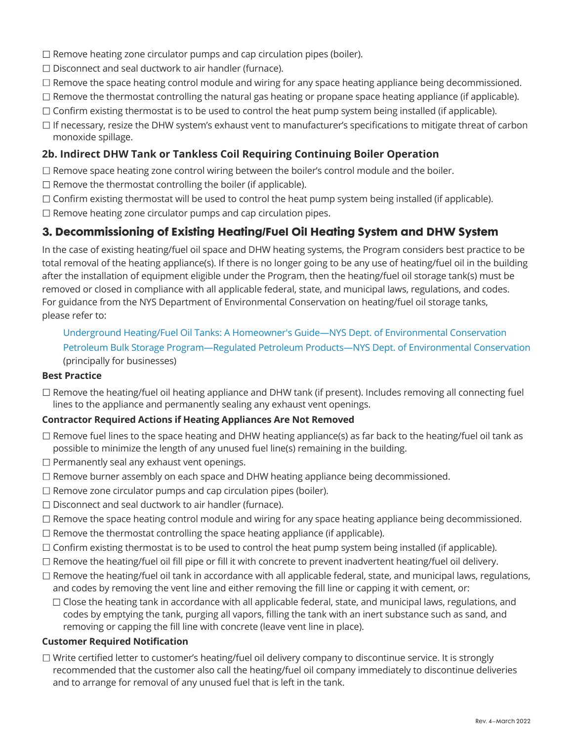- $\Box$  Remove heating zone circulator pumps and cap circulation pipes (boiler).
- $\square$  Disconnect and seal ductwork to air handler (furnace).
- $\Box$  Remove the space heating control module and wiring for any space heating appliance being decommissioned.
- $\Box$  Remove the thermostat controlling the natural gas heating or propane space heating appliance (if applicable).
- $\Box$  Confirm existing thermostat is to be used to control the heat pump system being installed (if applicable).
- $\Box$  If necessary, resize the DHW system's exhaust vent to manufacturer's specifications to mitigate threat of carbon monoxide spillage.

## **2b. Indirect DHW Tank or Tankless Coil Requiring Continuing Boiler Operation**

- $\Box$  Remove space heating zone control wiring between the boiler's control module and the boiler.
- $\square$  Remove the thermostat controlling the boiler (if applicable).
- $\Box$  Confirm existing thermostat will be used to control the heat pump system being installed (if applicable).
- $\Box$  Remove heating zone circulator pumps and cap circulation pipes.

# 3. Decommissioning of Existing Heating/Fuel Oil Heating System and DHW System

In the case of existing heating/fuel oil space and DHW heating systems, the Program considers best practice to be total removal of the heating appliance(s). If there is no longer going to be any use of heating/fuel oil in the building after the installation of equipment eligible under the Program, then the heating/fuel oil storage tank(s) must be removed or closed in compliance with all applicable federal, state, and municipal laws, regulations, and codes. For guidance from the NYS Department of Environmental Conservation on heating/fuel oil storage tanks, please refer to:

[Underground Heating/Fuel Oil Tanks: A Homeowner's Guide—NYS Dept. of Environmental Conservation](https://www.dec.ny.gov/chemical/32263.html) [Petroleum Bulk Storage Program—Regulated Petroleum Products—NYS Dept. of Environmental Conservation](https://www.dec.ny.gov/chemical/93458.html) (principally for businesses)

#### **Best Practice**

 $\Box$  Remove the heating/fuel oil heating appliance and DHW tank (if present). Includes removing all connecting fuel lines to the appliance and permanently sealing any exhaust vent openings.

#### **Contractor Required Actions if Heating Appliances Are Not Removed**

- □ Remove fuel lines to the space heating and DHW heating appliance(s) as far back to the heating/fuel oil tank as possible to minimize the length of any unused fuel line(s) remaining in the building.
- $\square$  Permanently seal any exhaust vent openings.
- $\Box$  Remove burner assembly on each space and DHW heating appliance being decommissioned.
- $\Box$  Remove zone circulator pumps and cap circulation pipes (boiler).
- $\Box$  Disconnect and seal ductwork to air handler (furnace).
- $\Box$  Remove the space heating control module and wiring for any space heating appliance being decommissioned.
- $\Box$  Remove the thermostat controlling the space heating appliance (if applicable).
- $\Box$  Confirm existing thermostat is to be used to control the heat pump system being installed (if applicable).
- $\Box$  Remove the heating/fuel oil fill pipe or fill it with concrete to prevent inadvertent heating/fuel oil delivery.
- $\Box$  Remove the heating/fuel oil tank in accordance with all applicable federal, state, and municipal laws, regulations, and codes by removing the vent line and either removing the fill line or capping it with cement, or:
	- $\Box$  Close the heating tank in accordance with all applicable federal, state, and municipal laws, regulations, and codes by emptying the tank, purging all vapors, filling the tank with an inert substance such as sand, and removing or capping the fill line with concrete (leave vent line in place).

#### **Customer Required Notification**

 $\Box$  Write certified letter to customer's heating/fuel oil delivery company to discontinue service. It is strongly recommended that the customer also call the heating/fuel oil company immediately to discontinue deliveries and to arrange for removal of any unused fuel that is left in the tank.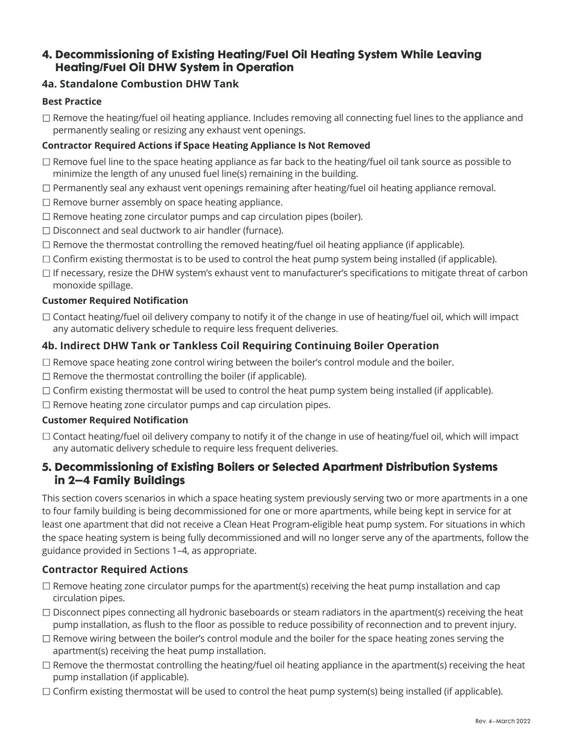# 4. Decommissioning of Existing Heating/Fuel Oil Heating System While Leaving Heating/Fuel Oil DHW System in Operation

## **4a. Standalone Combustion DHW Tank**

#### **Best Practice**

 $\Box$  Remove the heating/fuel oil heating appliance. Includes removing all connecting fuel lines to the appliance and permanently sealing or resizing any exhaust vent openings.

#### **Contractor Required Actions if Space Heating Appliance Is Not Removed**

- $\Box$  Remove fuel line to the space heating appliance as far back to the heating/fuel oil tank source as possible to minimize the length of any unused fuel line(s) remaining in the building.
- $\Box$  Permanently seal any exhaust vent openings remaining after heating/fuel oil heating appliance removal.
- $\Box$  Remove burner assembly on space heating appliance.
- $\Box$  Remove heating zone circulator pumps and cap circulation pipes (boiler).
- $\Box$  Disconnect and seal ductwork to air handler (furnace).
- $\Box$  Remove the thermostat controlling the removed heating/fuel oil heating appliance (if applicable).
- $\Box$  Confirm existing thermostat is to be used to control the heat pump system being installed (if applicable).
- $\Box$  If necessary, resize the DHW system's exhaust vent to manufacturer's specifications to mitigate threat of carbon monoxide spillage.

#### **Customer Required Notification**

 $\Box$  Contact heating/fuel oil delivery company to notify it of the change in use of heating/fuel oil, which will impact any automatic delivery schedule to require less frequent deliveries.

#### **4b. Indirect DHW Tank or Tankless Coil Requiring Continuing Boiler Operation**

- $\Box$  Remove space heating zone control wiring between the boiler's control module and the boiler.
- $\Box$  Remove the thermostat controlling the boiler (if applicable).
- $\Box$  Confirm existing thermostat will be used to control the heat pump system being installed (if applicable).
- $\Box$  Remove heating zone circulator pumps and cap circulation pipes.

#### **Customer Required Notification**

 $\Box$  Contact heating/fuel oil delivery company to notify it of the change in use of heating/fuel oil, which will impact any automatic delivery schedule to require less frequent deliveries.

## 5. Decommissioning of Existing Boilers or Selected Apartment Distribution Systems in 2–4 Family Buildings

This section covers scenarios in which a space heating system previously serving two or more apartments in a one to four family building is being decommissioned for one or more apartments, while being kept in service for at least one apartment that did not receive a Clean Heat Program-eligible heat pump system. For situations in which the space heating system is being fully decommissioned and will no longer serve any of the apartments, follow the guidance provided in Sections 1–4, as appropriate.

#### **Contractor Required Actions**

- $\Box$  Remove heating zone circulator pumps for the apartment(s) receiving the heat pump installation and cap circulation pipes.
- $\Box$  Disconnect pipes connecting all hydronic baseboards or steam radiators in the apartment(s) receiving the heat pump installation, as flush to the floor as possible to reduce possibility of reconnection and to prevent injury.
- $\Box$  Remove wiring between the boiler's control module and the boiler for the space heating zones serving the apartment(s) receiving the heat pump installation.
- $\Box$  Remove the thermostat controlling the heating/fuel oil heating appliance in the apartment(s) receiving the heat pump installation (if applicable).
- $\Box$  Confirm existing thermostat will be used to control the heat pump system(s) being installed (if applicable).